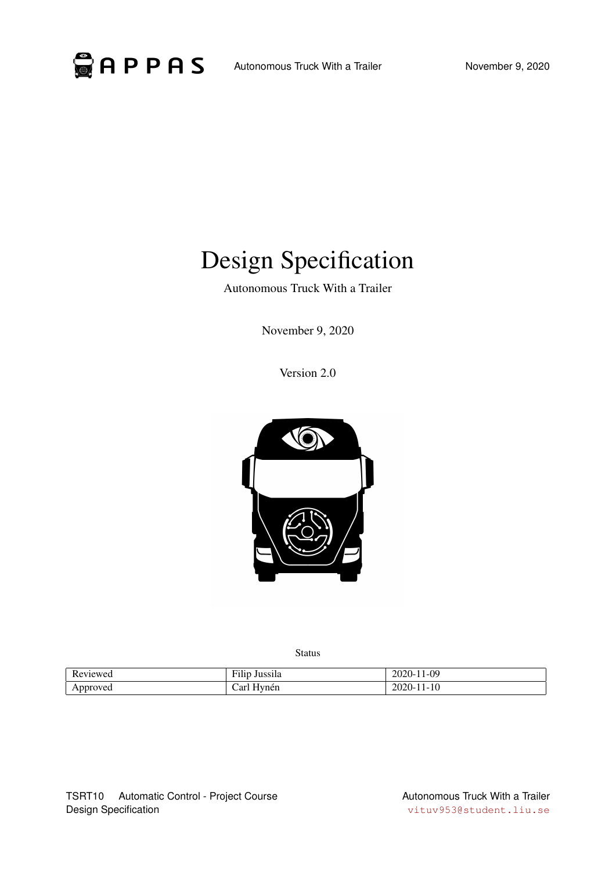

# Design Specification

Autonomous Truck With a Trailer

November 9, 2020

Version 2.0



Status

| $"$ 1ewe $\mu$<br>. | $\overline{\phantom{a}}$<br>11 C C 1<br>шээна<br> | $-09$<br>--<br>2020<br>. .<br>and the control of the con- |
|---------------------|---------------------------------------------------|-----------------------------------------------------------|
| "OVAL<br>$\cdots$   | ົດຈ<br>vnen                                       | $\sim$<br>11<br>L-1 U<br>∠∪∠∪<br>__                       |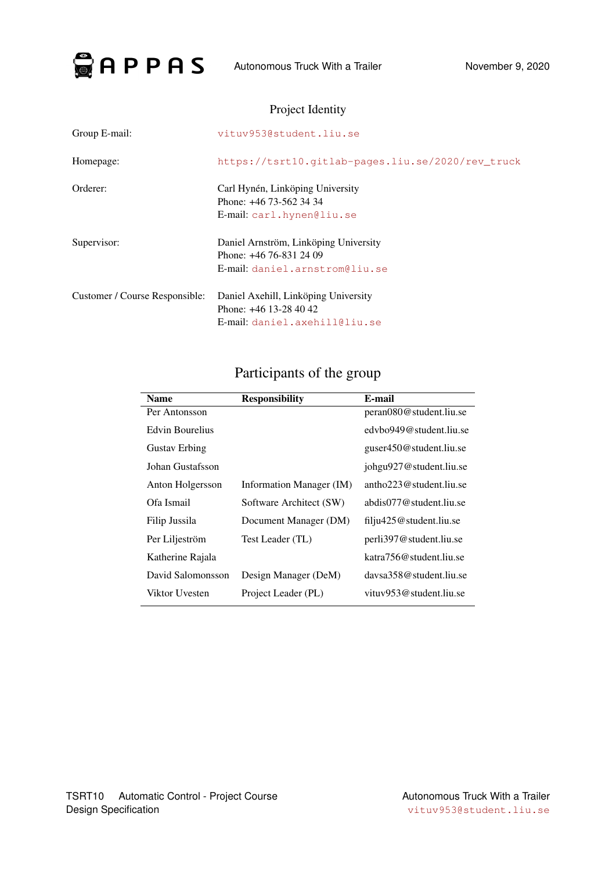

| THUJUL TULITILI                |                                                                                                      |  |
|--------------------------------|------------------------------------------------------------------------------------------------------|--|
| Group E-mail:                  | vituv953@student.liu.se                                                                              |  |
| Homepage:                      | https://tsrt10.gitlab-pages.liu.se/2020/rev_truck                                                    |  |
| Orderer:                       | Carl Hynén, Linköping University<br>Phone: +46 73-562 34 34<br>E-mail: carl.hynen@liu.se             |  |
| Supervisor:                    | Daniel Arnström, Linköping University<br>Phone: $+46$ 76-831 24 09<br>E-mail: daniel.arnstrom@liu.se |  |
| Customer / Course Responsible: | Daniel Axehill, Linköping University<br>Phone: $+46$ 13-28 40 42<br>E-mail: daniel.axehill@liu.se    |  |

# Project Identity

# Participants of the group

| <b>Name</b>          | <b>Responsibility</b>    | E-mail                            |
|----------------------|--------------------------|-----------------------------------|
| Per Antonsson        |                          | peran080@student.liu.se           |
| Edvin Bourelius      |                          | edybo949@student.liu.se           |
| <b>Gustav Erbing</b> |                          | guser450@student.liu.se           |
| Johan Gustafsson     |                          | johgu927@student.liu.se           |
| Anton Holgersson     | Information Manager (IM) | antho $223@$ student. liu.se      |
| Ofa Ismail           | Software Architect (SW)  | abdis077@student.liu.se           |
| Filip Jussila        | Document Manager (DM)    | $\text{fil}$ ju425@student.liu.se |
| Per Liljeström       | Test Leader (TL)         | perli397@student.liu.se           |
| Katherine Rajala     |                          | katra 756@student.liu.se          |
| David Salomonsson    | Design Manager (DeM)     | davs358@student.liu.se            |
| Viktor Uvesten       | Project Leader (PL)      | vituv $953@$ student.liu.se       |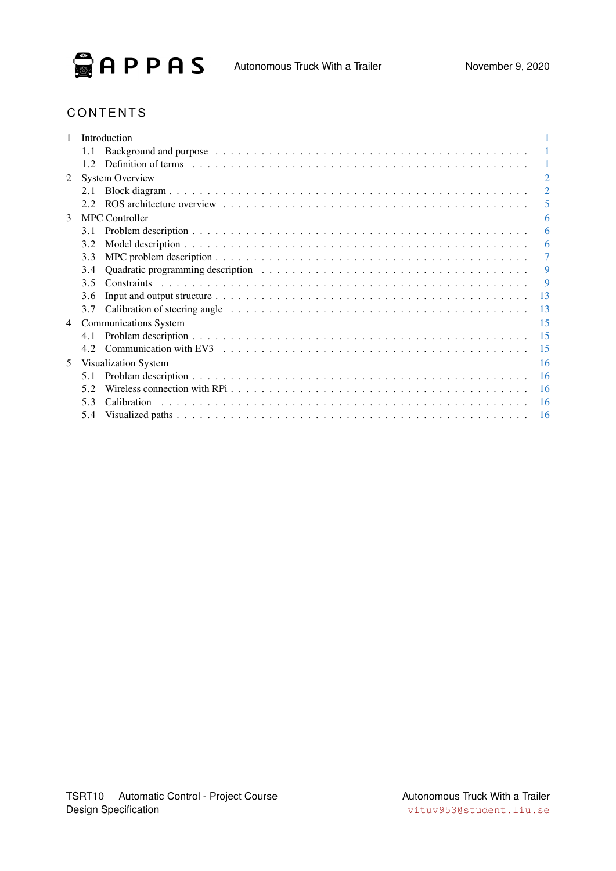

# **CONTENTS**

| $\mathbf{1}$ |      | Introduction                       |
|--------------|------|------------------------------------|
|              | 1.1  |                                    |
|              | 1.2. |                                    |
| 2            |      | 2<br><b>System Overview</b>        |
|              | 2.1  | $\overline{2}$                     |
|              | 2.2. | 5                                  |
| 3            |      | <b>MPC</b> Controller<br>6         |
|              | 3.1  | 6                                  |
|              | 3.2  | 6                                  |
|              | 3.3  | 7                                  |
|              | 3.4  | 9                                  |
|              | 3.5  | 9                                  |
|              | 3.6  | 13                                 |
|              | 3.7  | 13                                 |
| 4            |      | 15<br><b>Communications System</b> |
|              | 4.1  | -15                                |
|              | 4.2  | 15                                 |
| 5            |      | 16<br>Visualization System         |
|              | 5.1  | <b>16</b>                          |
|              | 5.2  | <b>16</b>                          |
|              | 5.3  | <sup>16</sup>                      |
|              | 5.4  | <sup>16</sup>                      |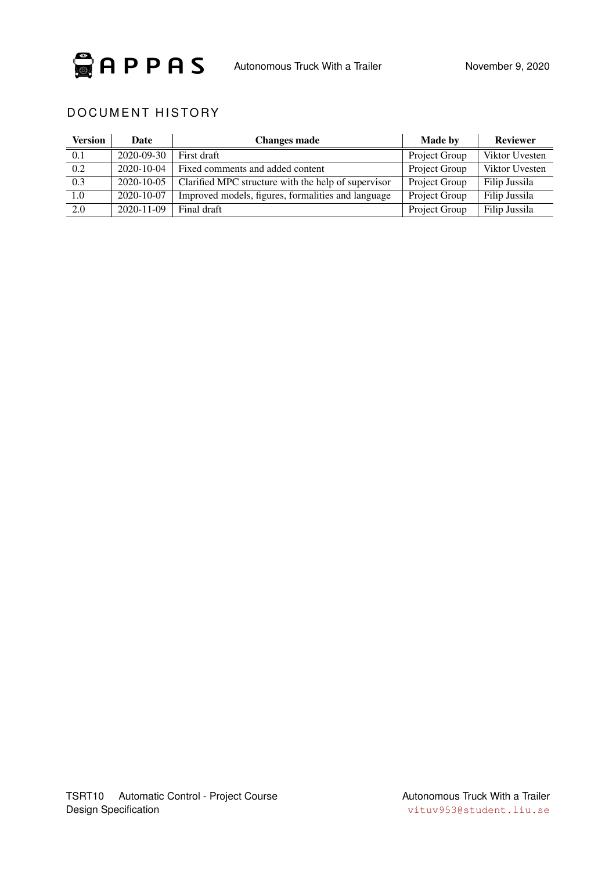

# DOCUMENT HISTORY

| Version | Date             | <b>Changes made</b>                                 | <b>Made by</b> | <b>Reviewer</b> |
|---------|------------------|-----------------------------------------------------|----------------|-----------------|
| 0.1     | 2020-09-30       | First draft                                         | Project Group  | Viktor Uvesten  |
| 0.2     | 2020-10-04       | Fixed comments and added content                    | Project Group  | Viktor Uvesten  |
| 0.3     | $2020 - 10 - 05$ | Clarified MPC structure with the help of supervisor | Project Group  | Filip Jussila   |
| 1.0     | 2020-10-07       | Improved models, figures, formalities and language  | Project Group  | Filip Jussila   |
| 2.0     | 2020-11-09       | Final draft                                         | Project Group  | Filip Jussila   |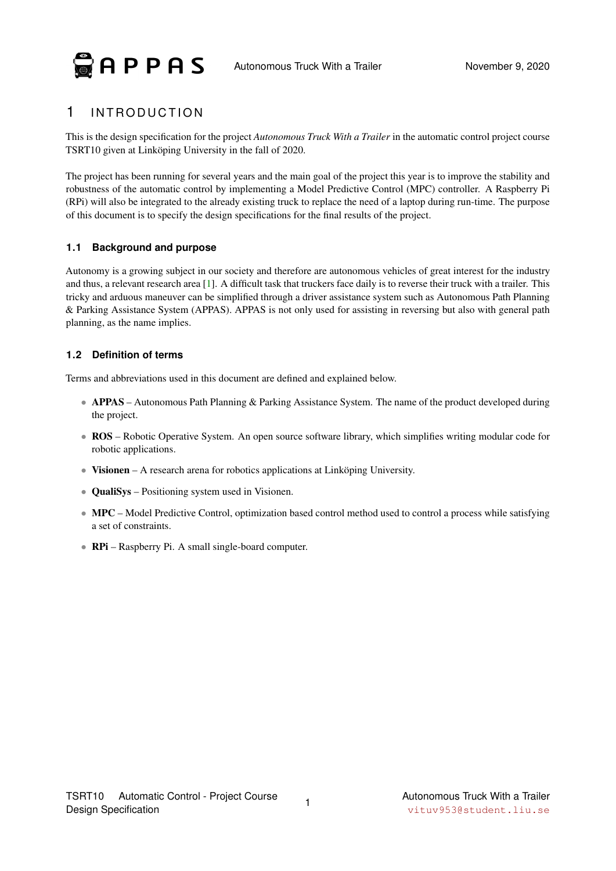APPAS

# <span id="page-4-0"></span>1 INTRODUCTION

This is the design specification for the project *Autonomous Truck With a Trailer* in the automatic control project course TSRT10 given at Linköping University in the fall of 2020.

The project has been running for several years and the main goal of the project this year is to improve the stability and robustness of the automatic control by implementing a Model Predictive Control (MPC) controller. A Raspberry Pi (RPi) will also be integrated to the already existing truck to replace the need of a laptop during run-time. The purpose of this document is to specify the design specifications for the final results of the project.

# <span id="page-4-1"></span>**1.1 Background and purpose**

Autonomy is a growing subject in our society and therefore are autonomous vehicles of great interest for the industry and thus, a relevant research area [\[1\]](#page-21-0). A difficult task that truckers face daily is to reverse their truck with a trailer. This tricky and arduous maneuver can be simplified through a driver assistance system such as Autonomous Path Planning & Parking Assistance System (APPAS). APPAS is not only used for assisting in reversing but also with general path planning, as the name implies.

# <span id="page-4-2"></span>**1.2 Definition of terms**

Terms and abbreviations used in this document are defined and explained below.

- APPAS Autonomous Path Planning & Parking Assistance System. The name of the product developed during the project.
- ROS Robotic Operative System. An open source software library, which simplifies writing modular code for robotic applications.
- Visionen A research arena for robotics applications at Linköping University.
- QualiSys Positioning system used in Visionen.
- MPC Model Predictive Control, optimization based control method used to control a process while satisfying a set of constraints.
- **RPi** Raspberry Pi. A small single-board computer.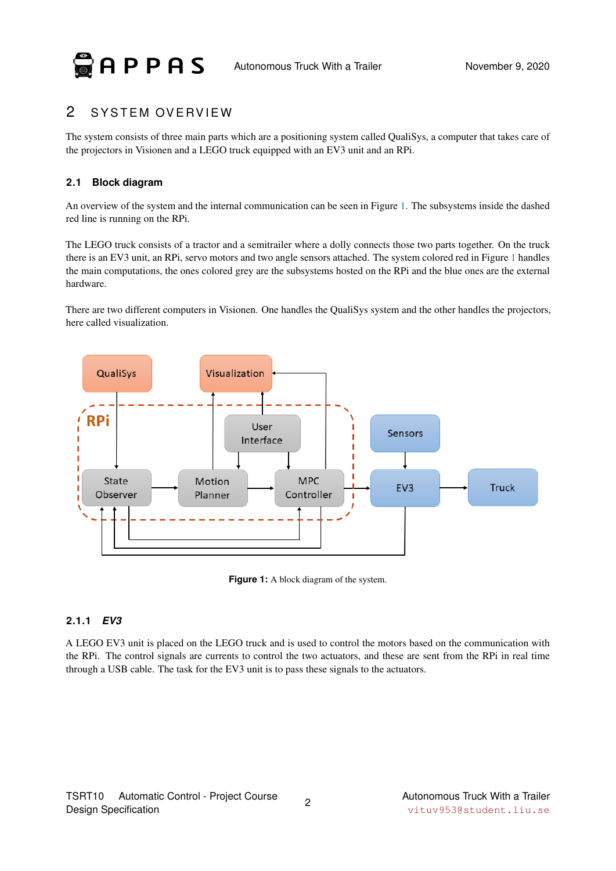

# <span id="page-5-0"></span>2 SYSTEM OVERVIEW

The system consists of three main parts which are a positioning system called QualiSys, a computer that takes care of the projectors in Visionen and a LEGO truck equipped with an EV3 unit and an RPi.

# <span id="page-5-1"></span>**2.1 Block diagram**

An overview of the system and the internal communication can be seen in Figure [1.](#page-5-2) The subsystems inside the dashed red line is running on the RPi.

The LEGO truck consists of a tractor and a semitrailer where a dolly connects those two parts together. On the truck there is an EV3 unit, an RPi, servo motors and two angle sensors attached. The system colored red in Figure [1](#page-5-2) handles the main computations, the ones colored grey are the subsystems hosted on the RPi and the blue ones are the external hardware.

There are two different computers in Visionen. One handles the QualiSys system and the other handles the projectors, here called visualization.

<span id="page-5-2"></span>

Figure 1: A block diagram of the system.

# **2.1.1** *EV3*

A LEGO EV3 unit is placed on the LEGO truck and is used to control the motors based on the communication with the RPi. The control signals are currents to control the two actuators, and these are sent from the RPi in real time through a USB cable. The task for the EV3 unit is to pass these signals to the actuators.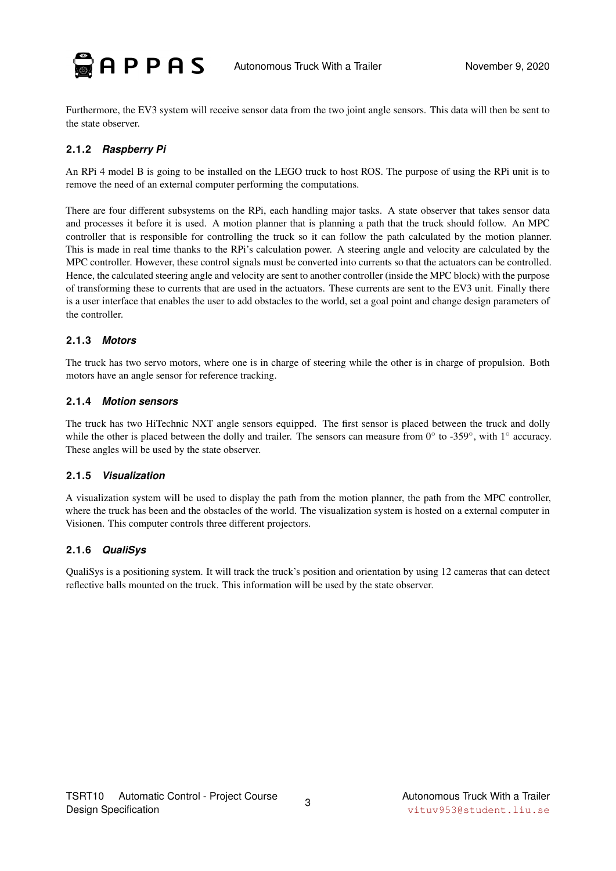

Furthermore, the EV3 system will receive sensor data from the two joint angle sensors. This data will then be sent to the state observer.

# **2.1.2** *Raspberry Pi*

An RPi 4 model B is going to be installed on the LEGO truck to host ROS. The purpose of using the RPi unit is to remove the need of an external computer performing the computations.

There are four different subsystems on the RPi, each handling major tasks. A state observer that takes sensor data and processes it before it is used. A motion planner that is planning a path that the truck should follow. An MPC controller that is responsible for controlling the truck so it can follow the path calculated by the motion planner. This is made in real time thanks to the RPi's calculation power. A steering angle and velocity are calculated by the MPC controller. However, these control signals must be converted into currents so that the actuators can be controlled. Hence, the calculated steering angle and velocity are sent to another controller (inside the MPC block) with the purpose of transforming these to currents that are used in the actuators. These currents are sent to the EV3 unit. Finally there is a user interface that enables the user to add obstacles to the world, set a goal point and change design parameters of the controller.

# **2.1.3** *Motors*

The truck has two servo motors, where one is in charge of steering while the other is in charge of propulsion. Both motors have an angle sensor for reference tracking.

#### **2.1.4** *Motion sensors*

The truck has two HiTechnic NXT angle sensors equipped. The first sensor is placed between the truck and dolly while the other is placed between the dolly and trailer. The sensors can measure from  $0^\circ$  to -359°, with  $1^\circ$  accuracy. These angles will be used by the state observer.

# **2.1.5** *Visualization*

A visualization system will be used to display the path from the motion planner, the path from the MPC controller, where the truck has been and the obstacles of the world. The visualization system is hosted on a external computer in Visionen. This computer controls three different projectors.

# **2.1.6** *QualiSys*

QualiSys is a positioning system. It will track the truck's position and orientation by using 12 cameras that can detect reflective balls mounted on the truck. This information will be used by the state observer.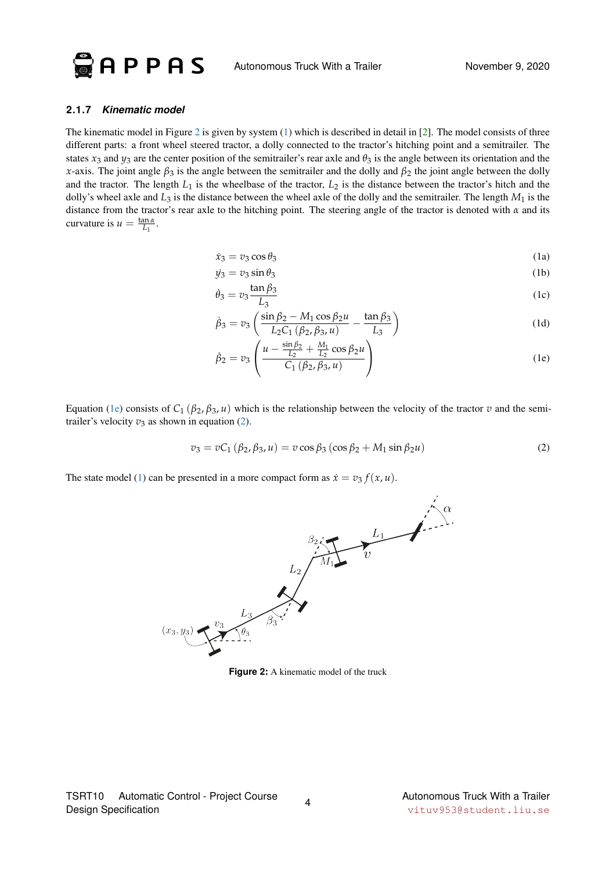

#### **2.1.7** *Kinematic model*

<span id="page-7-1"></span>The kinematic model in Figure [2](#page-7-0) is given by system  $(1)$  which is described in detail in  $[2]$ . The model consists of three different parts: a front wheel steered tractor, a dolly connected to the tractor's hitching point and a semitrailer. The states  $x_3$  and  $y_3$  are the center position of the semitrailer's rear axle and  $\theta_3$  is the angle between its orientation and the *x*-axis. The joint angle  $\beta_3$  is the angle between the semitrailer and the dolly and  $\beta_2$  the joint angle between the dolly and the tractor. The length  $L_1$  is the wheelbase of the tractor,  $L_2$  is the distance between the tractor's hitch and the dolly's wheel axle and *L*<sup>3</sup> is the distance between the wheel axle of the dolly and the semitrailer. The length *M*<sup>1</sup> is the distance from the tractor's rear axle to the hitching point. The steering angle of the tractor is denoted with *α* and its curvature is  $u = \frac{\tan \alpha}{L_1}$ .

<span id="page-7-3"></span>
$$
\dot{x}_3 = v_3 \cos \theta_3 \tag{1a}
$$

$$
\dot{y}_3 = v_3 \sin \theta_3 \tag{1b}
$$

$$
\dot{\theta}_3 = v_3 \frac{\tan \beta_3}{L_3} \tag{1c}
$$

$$
\dot{\beta}_3 = v_3 \left( \frac{\sin \beta_2 - M_1 \cos \beta_2 u}{L_2 C_1 (\beta_2, \beta_3, u)} - \frac{\tan \beta_3}{L_3} \right)
$$
(1d)

<span id="page-7-2"></span>
$$
\dot{\beta}_2 = v_3 \left( \frac{u - \frac{\sin \beta_2}{L_2} + \frac{M_1}{L_2} \cos \beta_2 u}{C_1 (\beta_2, \beta_3, u)} \right)
$$
(1e)

Equation [\(1e\)](#page-7-2) consists of  $C_1$  ( $\beta_2$ ,  $\beta_3$ , *u*) which is the relationship between the velocity of the tractor *v* and the semitrailer's velocity  $v_3$  as shown in equation [\(2\)](#page-7-3).

$$
v_3 = vC_1 (\beta_2, \beta_3, u) = v \cos \beta_3 (\cos \beta_2 + M_1 \sin \beta_2 u)
$$
 (2)

<span id="page-7-0"></span>The state model [\(1\)](#page-7-2) can be presented in a more compact form as  $\dot{x} = v_3 f(x, u)$ .



**Figure 2:** A kinematic model of the truck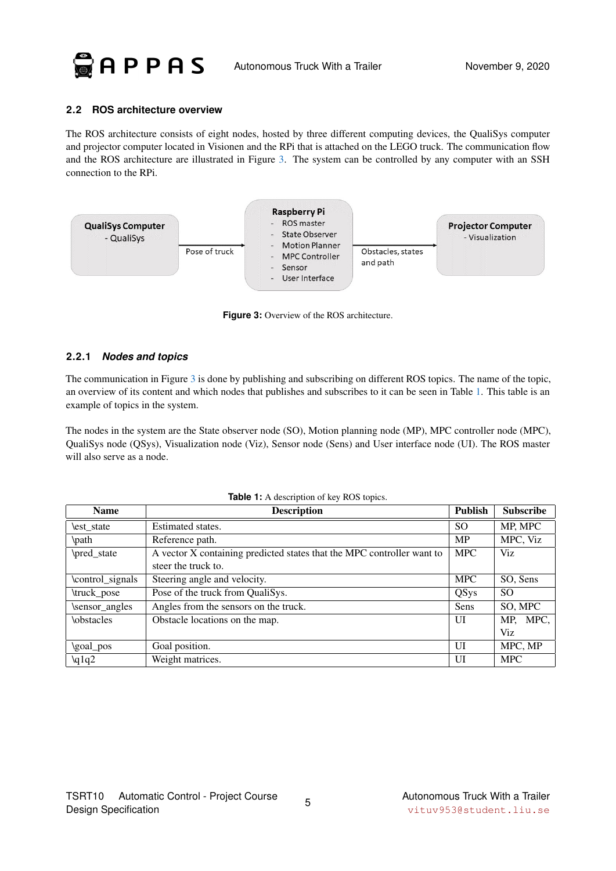

#### <span id="page-8-0"></span>**2.2 ROS architecture overview**

The ROS architecture consists of eight nodes, hosted by three different computing devices, the QualiSys computer and projector computer located in Visionen and the RPi that is attached on the LEGO truck. The communication flow and the ROS architecture are illustrated in Figure [3.](#page-8-1) The system can be controlled by any computer with an SSH connection to the RPi.

<span id="page-8-1"></span>

**Figure 3:** Overview of the ROS architecture.

# **2.2.1** *Nodes and topics*

The communication in Figure [3](#page-8-1) is done by publishing and subscribing on different ROS topics. The name of the topic, an overview of its content and which nodes that publishes and subscribes to it can be seen in Table [1.](#page-8-2) This table is an example of topics in the system.

The nodes in the system are the State observer node (SO), Motion planning node (MP), MPC controller node (MPC), QualiSys node (QSys), Visualization node (Viz), Sensor node (Sens) and User interface node (UI). The ROS master will also serve as a node.

<span id="page-8-2"></span>

| <b>Name</b>       | <b>Description</b>                                                     | <b>Publish</b> | <b>Subscribe</b> |
|-------------------|------------------------------------------------------------------------|----------------|------------------|
| lest state        | Estimated states.                                                      | SO.            | MP, MPC          |
| \path             | Reference path.                                                        | <b>MP</b>      | MPC, Viz         |
| \pred_state       | A vector X containing predicted states that the MPC controller want to | <b>MPC</b>     | Viz              |
|                   | steer the truck to.                                                    |                |                  |
| \control_signals  | Steering angle and velocity.                                           | <b>MPC</b>     | SO, Sens         |
| \truck_pose       | Pose of the truck from QualiSys.                                       | QSys           | <sub>SO</sub>    |
| \sensor_angles    | Angles from the sensors on the truck.                                  | Sens           | SO, MPC          |
| <b>\obstacles</b> | Obstacle locations on the map.                                         | UI             | MP, MPC,         |
|                   |                                                                        |                | Viz              |
| \goal_pos         | Goal position.                                                         | UI             | MPC, MP          |
| $\qquadq1q2$      | Weight matrices.                                                       | UI             | <b>MPC</b>       |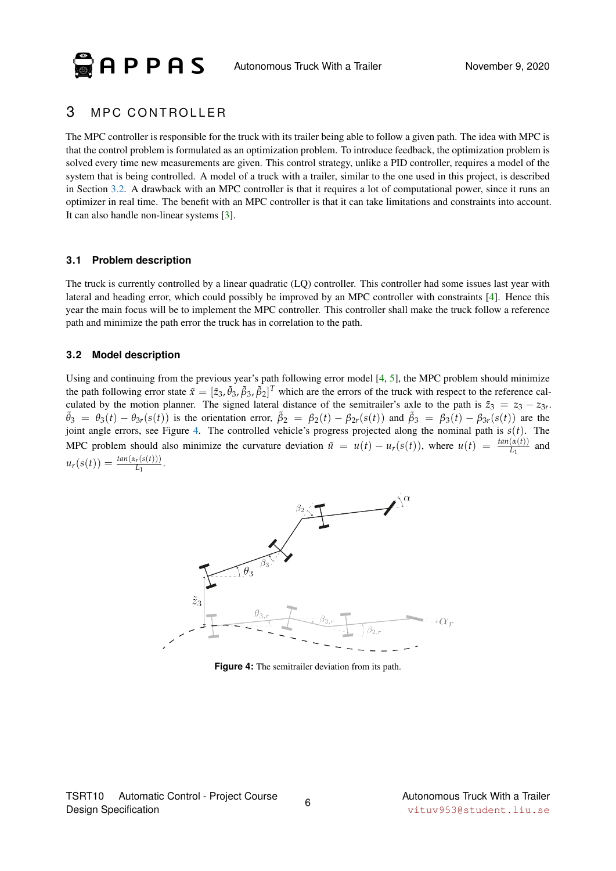**APPAS** 

# <span id="page-9-0"></span>3 MPC CONTROLLER

The MPC controller is responsible for the truck with its trailer being able to follow a given path. The idea with MPC is that the control problem is formulated as an optimization problem. To introduce feedback, the optimization problem is solved every time new measurements are given. This control strategy, unlike a PID controller, requires a model of the system that is being controlled. A model of a truck with a trailer, similar to the one used in this project, is described in Section [3.2.](#page-9-2) A drawback with an MPC controller is that it requires a lot of computational power, since it runs an optimizer in real time. The benefit with an MPC controller is that it can take limitations and constraints into account. It can also handle non-linear systems [\[3\]](#page-21-2).

#### <span id="page-9-1"></span>**3.1 Problem description**

The truck is currently controlled by a linear quadratic (LQ) controller. This controller had some issues last year with lateral and heading error, which could possibly be improved by an MPC controller with constraints [\[4\]](#page-21-3). Hence this year the main focus will be to implement the MPC controller. This controller shall make the truck follow a reference path and minimize the path error the truck has in correlation to the path.

#### <span id="page-9-2"></span>**3.2 Model description**

Using and continuing from the previous year's path following error model [\[4,](#page-21-3) [5\]](#page-21-4), the MPC problem should minimize the path following error state  $\tilde{x} = [\tilde{z}_3, \tilde{\theta}_3, \tilde{\beta}_3, \tilde{\beta}_2]^T$  which are the errors of the truck with respect to the reference calculated by the motion planner. The signed lateral distance of the semitrailer's axle to the path is  $\tilde{z}_3 = z_3 - z_{3r}$ .  $\tilde{\theta}_3 = \theta_3(t) - \theta_{3r}(s(t))$  is the orientation error,  $\tilde{\beta}_2 = \beta_2(t) - \beta_{2r}(s(t))$  and  $\tilde{\beta}_3 = \beta_3(t) - \beta_{3r}(s(t))$  are the joint angle errors, see Figure [4.](#page-9-3) The controlled vehicle's progress projected along the nominal path is *s*(*t*). The MPC problem should also minimize the curvature deviation  $\tilde{u} = u(t) - u_r(s(t))$ , where  $u(t) = \frac{\tan(\alpha(t))}{L_1}$  and  $u_r(s(t)) = \frac{\tan(\alpha_r(s(t)))}{L_1}.$ 

<span id="page-9-3"></span>

**Figure 4:** The semitrailer deviation from its path.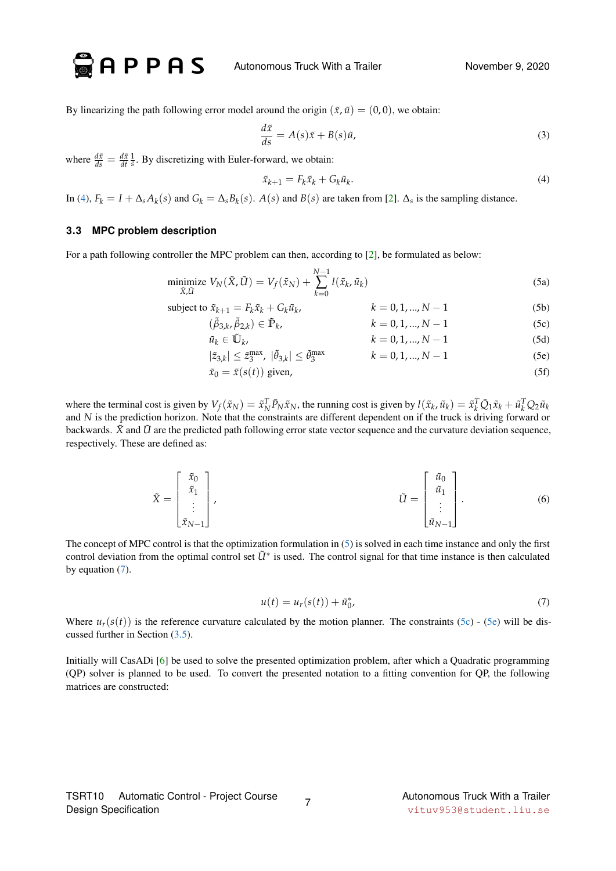Autonomous Truck With a Trailer Movember 9, 2020

By linearizing the path following error model around the origin  $(\tilde{x}, \tilde{u}) = (0, 0)$ , we obtain:

<span id="page-10-4"></span>
$$
\frac{d\tilde{x}}{ds} = A(s)\tilde{x} + B(s)\tilde{u},\tag{3}
$$

where  $\frac{d\tilde{x}}{ds} = \frac{d\tilde{x}}{dt} \frac{1}{\tilde{s}}$ . By discretizing with Euler-forward, we obtain:

<span id="page-10-7"></span><span id="page-10-6"></span><span id="page-10-5"></span><span id="page-10-1"></span>
$$
\tilde{x}_{k+1} = F_k \tilde{x}_k + G_k \tilde{u}_k. \tag{4}
$$

In [\(4\)](#page-10-1),  $F_k = I + \Delta_s A_k(s)$  and  $G_k = \Delta_s B_k(s)$ .  $A(s)$  and  $B(s)$  are taken from [\[2\]](#page-21-1).  $\Delta_s$  is the sampling distance.

#### <span id="page-10-0"></span>**3.3 MPC problem description**

 $\odot$  APPAS

For a path following controller the MPC problem can then, according to [\[2\]](#page-21-1), be formulated as below:

$$
\underset{\tilde{X},\tilde{U}}{\text{minimize}} \ V_{N}(\tilde{X},\tilde{U}) = V_{f}(\tilde{x}_{N}) + \sum_{k=0}^{N-1} l(\tilde{x}_{k},\tilde{u}_{k})
$$
\n(5a)

subject to 
$$
\tilde{x}_{k+1} = F_k \tilde{x}_k + G_k \tilde{u}_k
$$
,  $k = 0, 1, ..., N - 1$  (5b)

$$
(\tilde{\beta}_{3,k}, \tilde{\beta}_{2,k}) \in \tilde{\mathbb{P}}_k, \qquad k = 0, 1, ..., N - 1 \tag{5c}
$$

$$
\tilde{u}_k \in \tilde{\mathbb{U}}_k, \qquad k = 0, 1, ..., N - 1 \tag{5d}
$$

<span id="page-10-2"></span>
$$
|\tilde{z}_{3,k}| \le \tilde{z}_3^{\max}, \ |\tilde{\theta}_{3,k}| \le \tilde{\theta}_3^{\max} \qquad k = 0, 1, ..., N-1
$$
 (5e)

$$
\tilde{x}_0 = \tilde{x}(s(t)) \text{ given},\tag{5f}
$$

where the terminal cost is given by  $V_f(\tilde{x}_N) = \tilde{x}_N^T \bar{P}_N \tilde{x}_N$ , the running cost is given by  $l(\tilde{x}_k, \tilde{u}_k) = \tilde{x}_k^T \bar{Q}_1 \tilde{x}_k + \tilde{u}_k^T Q_2 \tilde{u}_k$ and *N* is the prediction horizon. Note that the constraints are different dependent on if the truck is driving forward or backwards.  $\tilde{X}$  and  $\tilde{U}$  are the predicted path following error state vector sequence and the curvature deviation sequence, respectively. These are defined as:

$$
\tilde{X} = \begin{bmatrix} \tilde{x}_0 \\ \tilde{x}_1 \\ \vdots \\ \tilde{x}_{N-1} \end{bmatrix}, \qquad \tilde{U} = \begin{bmatrix} \tilde{u}_0 \\ \tilde{u}_1 \\ \vdots \\ \tilde{u}_{N-1} \end{bmatrix}.
$$
 (6)

The concept of MPC control is that the optimization formulation in [\(5\)](#page-10-2) is solved in each time instance and only the first control deviation from the optimal control set  $\tilde{U}^*$  is used. The control signal for that time instance is then calculated by equation [\(7\)](#page-10-3).

<span id="page-10-3"></span>
$$
u(t) = u_r(s(t)) + \tilde{u}_0^*,
$$
 (7)

Where  $u_r(s(t))$  is the reference curvature calculated by the motion planner. The constraints [\(5c\)](#page-10-4) - [\(5e\)](#page-10-5) will be discussed further in Section [\(3.5\)](#page-12-1).

Initially will CasADi [\[6\]](#page-21-5) be used to solve the presented optimization problem, after which a Quadratic programming (QP) solver is planned to be used. To convert the presented notation to a fitting convention for QP, the following matrices are constructed: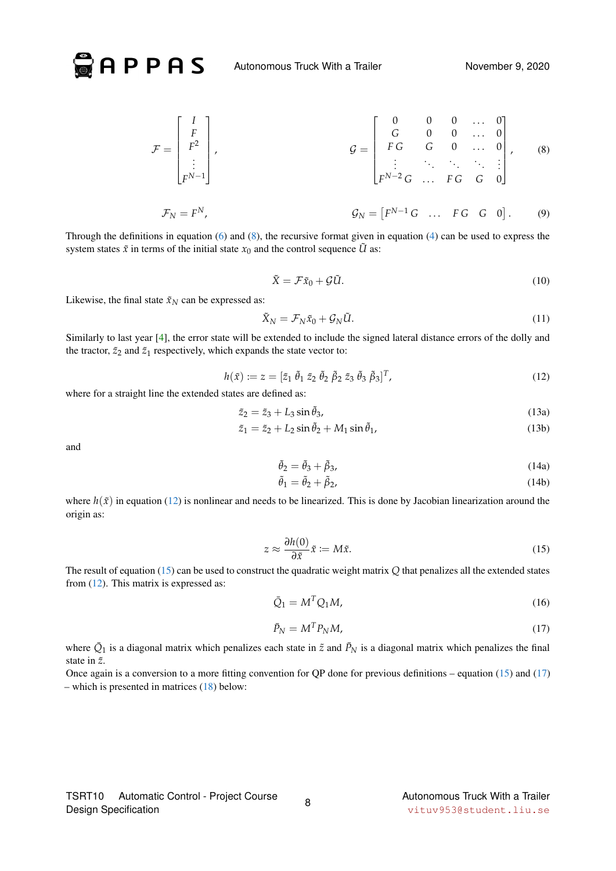<span id="page-11-0"></span>Autonomous Truck With a Trailer November 9, 2020

$$
\mathcal{F} = \begin{bmatrix} I \\ F \\ F^2 \\ \vdots \\ F^{N-1} \end{bmatrix}, \qquad \qquad \mathcal{G} = \begin{bmatrix} 0 & 0 & 0 & \dots & 0 \\ G & 0 & 0 & \dots & 0 \\ F G & G & 0 & \dots & 0 \\ \vdots & \ddots & \ddots & \ddots & \vdots \\ F^{N-2} G & \dots & F G & G & 0 \end{bmatrix}, \qquad (8)
$$

$$
\mathcal{F}_N = F^N,
$$

$$
\mathcal{G}_N = [F^{N-1} G \dots F G & G & 0]. \qquad (9)
$$

Through the definitions in equation [\(6\)](#page-10-2) and [\(8\)](#page-11-0), the recursive format given in equation [\(4\)](#page-10-1) can be used to express the system states  $\tilde{x}$  in terms of the initial state  $x_0$  and the control sequence  $\tilde{U}$  as:

$$
\tilde{X} = \mathcal{F}\tilde{x}_0 + \mathcal{G}\tilde{U}.
$$
\n(10)

Likewise, the final state  $\tilde{x}_N$  can be expressed as:

**APPAS** 

$$
\tilde{X}_N = \mathcal{F}_N \tilde{x}_0 + \mathcal{G}_N \tilde{U}.
$$
\n(11)

<span id="page-11-1"></span>Similarly to last year [\[4\]](#page-21-3), the error state will be extended to include the signed lateral distance errors of the dolly and the tractor,  $\tilde{z}_2$  and  $\tilde{z}_1$  respectively, which expands the state vector to:

$$
h(\tilde{x}) := z = [\tilde{z}_1 \ \tilde{\theta}_1 \ \tilde{z}_2 \ \tilde{\theta}_2 \ \tilde{\beta}_2 \ \tilde{z}_3 \ \tilde{\theta}_3 \ \tilde{\beta}_3]^T,
$$
\n(12)

where for a straight line the extended states are defined as:

$$
\tilde{z}_2 = \tilde{z}_3 + L_3 \sin \tilde{\theta}_3,\tag{13a}
$$

$$
\tilde{z}_1 = \tilde{z}_2 + L_2 \sin \tilde{\theta}_2 + M_1 \sin \tilde{\theta}_1,\tag{13b}
$$

and

$$
\tilde{\theta}_2 = \tilde{\theta}_3 + \tilde{\beta}_3,\tag{14a}
$$

<span id="page-11-2"></span>
$$
\tilde{\theta}_1 = \tilde{\theta}_2 + \tilde{\beta}_2, \tag{14b}
$$

where  $h(\tilde{x})$  in equation [\(12\)](#page-11-1) is nonlinear and needs to be linearized. This is done by Jacobian linearization around the origin as:

$$
z \approx \frac{\partial h(0)}{\partial \tilde{x}} \tilde{x} := M\tilde{x}.
$$
 (15)

The result of equation [\(15\)](#page-11-2) can be used to construct the quadratic weight matrix *Q* that penalizes all the extended states from [\(12\)](#page-11-1). This matrix is expressed as:

$$
\bar{Q}_1 = M^T Q_1 M,\tag{16}
$$

<span id="page-11-3"></span>
$$
\bar{P}_N = M^T P_N M,\tag{17}
$$

where  $\bar{Q}_1$  is a diagonal matrix which penalizes each state in  $\tilde{z}$  and  $\bar{P}_N$  is a diagonal matrix which penalizes the final state in  $\tilde{z}$ .

Once again is a conversion to a more fitting convention for QP done for previous definitions – equation [\(15\)](#page-11-2) and [\(17\)](#page-11-3) – which is presented in matrices [\(18\)](#page-12-2) below: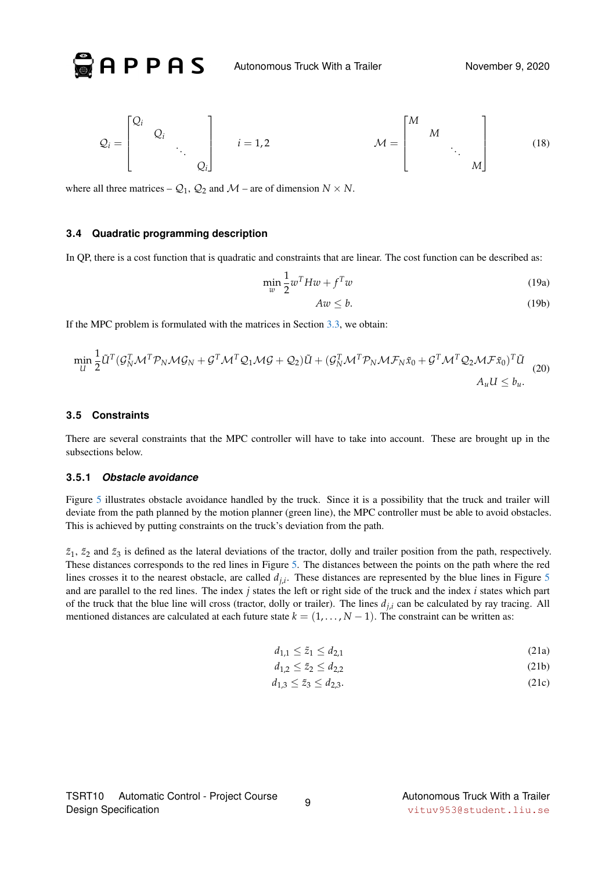<span id="page-12-2"></span>Autonomous Truck With a Trailer November 9, 2020

$$
Q_i = \begin{bmatrix} Q_i & & & \\ & Q_i & & \\ & & \ddots & \\ & & & Q_i \end{bmatrix} \qquad i = 1, 2 \qquad \qquad \mathcal{M} = \begin{bmatrix} M & & & \\ & M & & \\ & & \ddots & \\ & & & M \end{bmatrix} \qquad (18)
$$

where all three matrices –  $Q_1$ ,  $Q_2$  and  $M$  – are of dimension  $N \times N$ .

#### <span id="page-12-0"></span>**3.4 Quadratic programming description**

**APPAS** 

In QP, there is a cost function that is quadratic and constraints that are linear. The cost function can be described as:

$$
\min_{w} \frac{1}{2} w^T H w + f^T w \tag{19a}
$$

$$
Aw \leq b. \tag{19b}
$$

If the MPC problem is formulated with the matrices in Section [3.3,](#page-10-0) we obtain:

$$
\min_{U} \frac{1}{2} \tilde{U}^{T} (G_{N}^{T} \mathcal{M}^{T} \mathcal{P}_{N} \mathcal{M} \mathcal{G}_{N} + \mathcal{G}^{T} \mathcal{M}^{T} \mathcal{Q}_{1} \mathcal{M} \mathcal{G} + \mathcal{Q}_{2}) \tilde{U} + (G_{N}^{T} \mathcal{M}^{T} \mathcal{P}_{N} \mathcal{M} \mathcal{F}_{N} \tilde{x}_{0} + \mathcal{G}^{T} \mathcal{M}^{T} \mathcal{Q}_{2} \mathcal{M} \mathcal{F} \tilde{x}_{0})^{T} \tilde{U}
$$
\n
$$
A_{u} U \leq b_{u}.
$$
\n(20)

#### <span id="page-12-1"></span>**3.5 Constraints**

There are several constraints that the MPC controller will have to take into account. These are brought up in the subsections below.

#### **3.5.1** *Obstacle avoidance*

Figure [5](#page-13-0) illustrates obstacle avoidance handled by the truck. Since it is a possibility that the truck and trailer will deviate from the path planned by the motion planner (green line), the MPC controller must be able to avoid obstacles. This is achieved by putting constraints on the truck's deviation from the path.

 $\tilde{z}_1$ ,  $\tilde{z}_2$  and  $\tilde{z}_3$  is defined as the lateral deviations of the tractor, dolly and trailer position from the path, respectively. These distances corresponds to the red lines in Figure [5.](#page-13-0) The distances between the points on the path where the red lines crosses it to the nearest obstacle, are called  $d_{j,i}$ . These distances are represented by the blue lines in Figure [5](#page-13-0) and are parallel to the red lines. The index *j* states the left or right side of the truck and the index *i* states which part of the truck that the blue line will cross (tractor, dolly or trailer). The lines  $d_{j,i}$  can be calculated by ray tracing. All mentioned distances are calculated at each future state  $k = (1, \ldots, N - 1)$ . The constraint can be written as:

$$
d_{1,1} \le \tilde{z}_1 \le d_{2,1} \tag{21a}
$$

$$
d_{1,2} \le \tilde{z}_2 \le d_{2,2} \tag{21b}
$$

$$
d_{1,3} \le \tilde{z}_3 \le d_{2,3}.\tag{21c}
$$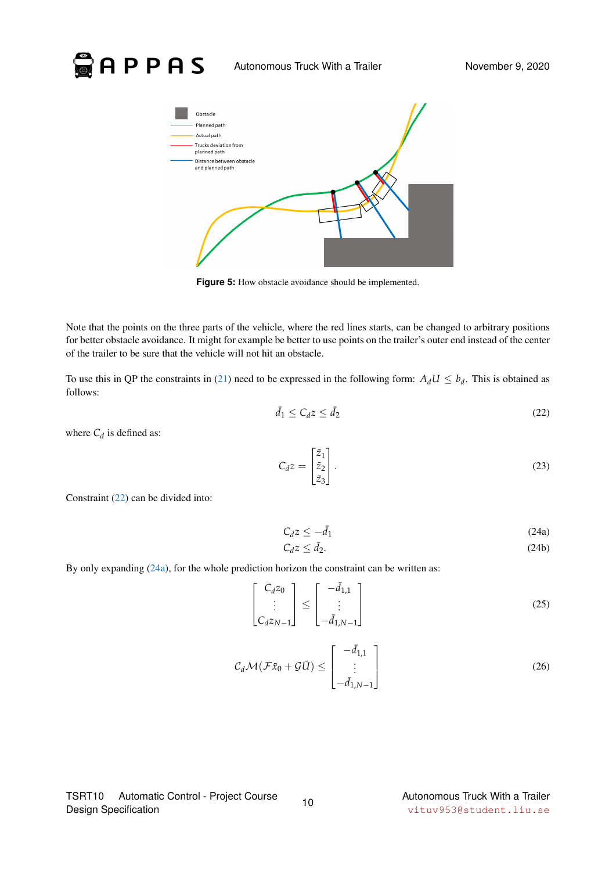# Autonomous Truck With a Trailer November 9, 2020



Figure 5: How obstacle avoidance should be implemented.

Note that the points on the three parts of the vehicle, where the red lines starts, can be changed to arbitrary positions for better obstacle avoidance. It might for example be better to use points on the trailer's outer end instead of the center of the trailer to be sure that the vehicle will not hit an obstacle.

To use this in QP the constraints in [\(21\)](#page-10-4) need to be expressed in the following form:  $A_dU \leq b_d$ . This is obtained as follows:

<span id="page-13-1"></span>
$$
\bar{d}_1 \le C_d z \le \bar{d}_2 \tag{22}
$$

where  $C_d$  is defined as:

$$
C_d z = \begin{bmatrix} \tilde{z}_1 \\ \tilde{z}_2 \\ \tilde{z}_3 \end{bmatrix} . \tag{23}
$$

Constraint [\(22\)](#page-13-1) can be divided into:

<span id="page-13-0"></span>**APPAS** 

$$
C_d z \le -\bar{d}_1 \tag{24a}
$$

$$
C_d z \le \bar{d}_2. \tag{24b}
$$

By only expanding [\(24a\)](#page-10-6), for the whole prediction horizon the constraint can be written as:

$$
\begin{bmatrix}\nC_d z_0 \\
\vdots \\
C_d z_{N-1}\n\end{bmatrix} \leq \begin{bmatrix}\n-\bar{d}_{1,1} \\
\vdots \\
-\bar{d}_{1,N-1}\n\end{bmatrix}
$$
\n(25)

$$
C_d \mathcal{M}(\mathcal{F}\tilde{x}_0 + \mathcal{G}\tilde{U}) \leq \begin{bmatrix} -\bar{d}_{1,1} \\ \vdots \\ -\bar{d}_{1,N-1} \end{bmatrix}
$$
(26)

TSRT10 Automatic Control - Project Course Design Specification <sup>10</sup> Autonomous Truck With a Trailer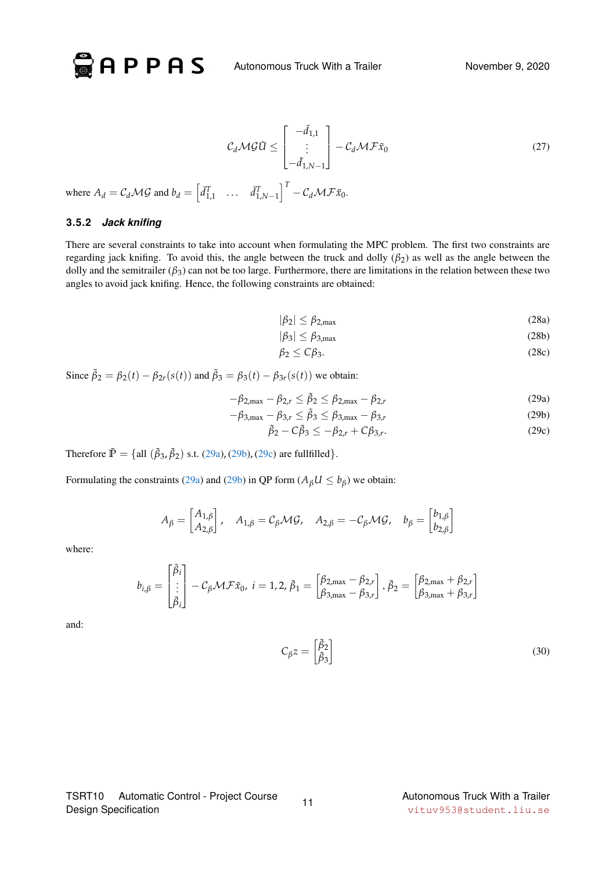Autonomous Truck With a Trailer Movember 9, 2020

$$
C_d \mathcal{M}\mathcal{G}\tilde{U} \le \begin{bmatrix} -\bar{d}_{1,1} \\ \vdots \\ -\bar{d}_{1,N-1} \end{bmatrix} - C_d \mathcal{M}\mathcal{F}\tilde{x}_0 \tag{27}
$$

where 
$$
A_d = C_d \mathcal{M} \mathcal{G}
$$
 and  $b_d = \begin{bmatrix} \bar{d}_{1,1}^T & \dots & \bar{d}_{1,N-1}^T \end{bmatrix}^T - C_d \mathcal{M} \mathcal{F} \tilde{x}_0$ .

#### **3.5.2** *Jack knifing*

 $\odot$  APPAS

There are several constraints to take into account when formulating the MPC problem. The first two constraints are regarding jack knifing. To avoid this, the angle between the truck and dolly  $(\beta_2)$  as well as the angle between the dolly and the semitrailer  $(\beta_3)$  can not be too large. Furthermore, there are limitations in the relation between these two angles to avoid jack knifing. Hence, the following constraints are obtained:

$$
|\beta_2| \le \beta_{2,\text{max}} \tag{28a}
$$

$$
|\beta_3| \le \beta_{3,\text{max}} \tag{28b}
$$

$$
\beta_2 \le C\beta_3. \tag{28c}
$$

Since  $\tilde{\beta}_2 = \beta_2(t) - \beta_{2r}(s(t))$  and  $\tilde{\beta}_3 = \beta_3(t) - \beta_{3r}(s(t))$  we obtain:

$$
-\beta_{2,\max} - \beta_{2,r} \le \tilde{\beta}_2 \le \beta_{2,\max} - \beta_{2,r} \tag{29a}
$$

$$
-\beta_{3,\max} - \beta_{3,r} \le \tilde{\beta}_3 \le \beta_{3,\max} - \beta_{3,r} \tag{29b}
$$

$$
\tilde{\beta}_2 - C\tilde{\beta}_3 \le -\beta_{2,r} + C\beta_{3,r}.\tag{29c}
$$

Therefore  $\tilde{P} = \{ \text{all } (\tilde{\beta}_3, \tilde{\beta}_2) \text{ s.t. } (29a), (29b), (29c) \text{ are fulfilled} \}.$  $\tilde{P} = \{ \text{all } (\tilde{\beta}_3, \tilde{\beta}_2) \text{ s.t. } (29a), (29b), (29c) \text{ are fulfilled} \}.$  $\tilde{P} = \{ \text{all } (\tilde{\beta}_3, \tilde{\beta}_2) \text{ s.t. } (29a), (29b), (29c) \text{ are fulfilled} \}.$  $\tilde{P} = \{ \text{all } (\tilde{\beta}_3, \tilde{\beta}_2) \text{ s.t. } (29a), (29b), (29c) \text{ are fulfilled} \}.$  $\tilde{P} = \{ \text{all } (\tilde{\beta}_3, \tilde{\beta}_2) \text{ s.t. } (29a), (29b), (29c) \text{ are fulfilled} \}.$  $\tilde{P} = \{ \text{all } (\tilde{\beta}_3, \tilde{\beta}_2) \text{ s.t. } (29a), (29b), (29c) \text{ are fulfilled} \}.$  $\tilde{P} = \{ \text{all } (\tilde{\beta}_3, \tilde{\beta}_2) \text{ s.t. } (29a), (29b), (29c) \text{ are fulfilled} \}.$ 

Formulating the constraints [\(29a\)](#page-10-6) and [\(29b\)](#page-10-7) in QP form ( $A_\beta U \leq b_\beta$ ) we obtain:

$$
A_{\beta} = \begin{bmatrix} A_{1,\beta} \\ A_{2,\beta} \end{bmatrix}, \quad A_{1,\beta} = C_{\beta} \mathcal{M} \mathcal{G}, \quad A_{2,\beta} = -C_{\beta} \mathcal{M} \mathcal{G}, \quad b_{\beta} = \begin{bmatrix} b_{1,\beta} \\ b_{2,\beta} \end{bmatrix}
$$

where:

$$
b_{i,\beta} = \begin{bmatrix} \bar{\beta}_i \\ \vdots \\ \bar{\beta}_i \end{bmatrix} - C_{\beta} \mathcal{M} \mathcal{F} \tilde{x}_0, \ i = 1, 2, \ \bar{\beta}_1 = \begin{bmatrix} \beta_{2,\text{max}} - \beta_{2,r} \\ \beta_{3,\text{max}} - \beta_{3,r} \end{bmatrix}, \ \bar{\beta}_2 = \begin{bmatrix} \beta_{2,\text{max}} + \beta_{2,r} \\ \beta_{3,\text{max}} + \beta_{3,r} \end{bmatrix}
$$

and:

$$
C_{\beta}z = \begin{bmatrix} \tilde{\beta}_2 \\ \tilde{\beta}_3 \end{bmatrix} \tag{30}
$$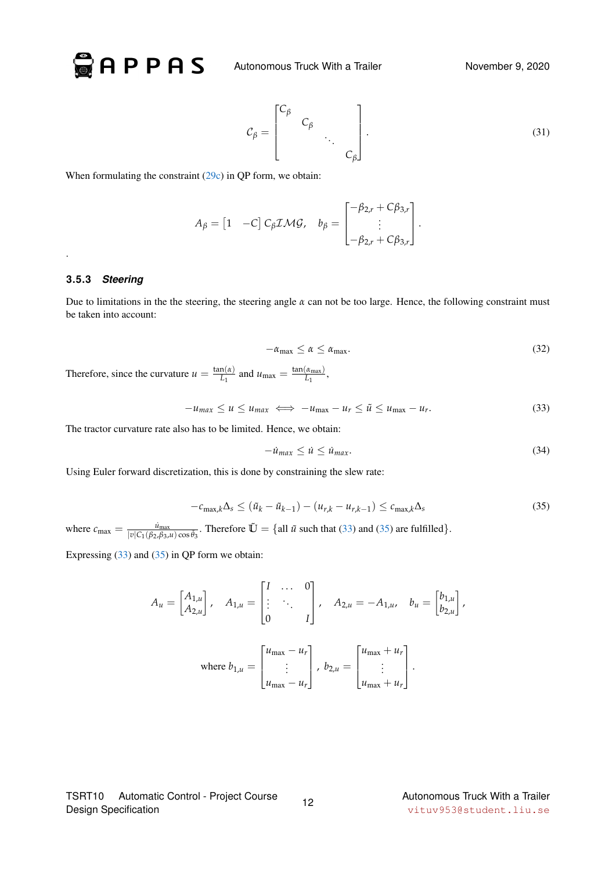**APPAS** Autonomous Truck With a Trailer November 9, 2020

$$
\mathcal{C}_{\beta} = \begin{bmatrix} C_{\beta} & & & \\ & C_{\beta} & & \\ & & \ddots & \\ & & & C_{\beta} \end{bmatrix} .
$$
 (31)

When formulating the constraint [\(29c\)](#page-10-4) in QP form, we obtain:

$$
A_{\beta} = \begin{bmatrix} 1 & -C \end{bmatrix} C_{\beta} \mathcal{I} \mathcal{M} \mathcal{G}, \quad b_{\beta} = \begin{bmatrix} -\beta_{2,r} + C\beta_{3,r} \\ \vdots \\ -\beta_{2,r} + C\beta_{3,r} \end{bmatrix}.
$$

### **3.5.3** *Steering*

.

Due to limitations in the the steering, the steering angle  $\alpha$  can not be too large. Hence, the following constraint must be taken into account:

<span id="page-15-0"></span>
$$
-\alpha_{\max} \le \alpha \le \alpha_{\max}.\tag{32}
$$

Therefore, since the curvature  $u = \frac{\tan(\alpha)}{L_1}$  $\frac{n(\alpha)}{L_1}$  and  $u_{\text{max}} = \frac{\tan(\alpha_{\text{max}})}{L_1}$  $\frac{(\mu_{\max})}{L_1}$ ,

$$
-u_{max} \le u \le u_{max} \iff -u_{max} - u_r \le \tilde{u} \le u_{max} - u_r. \tag{33}
$$

The tractor curvature rate also has to be limited. Hence, we obtain:

<span id="page-15-1"></span>
$$
-u_{max} \le u \le u_{max}.\tag{34}
$$

Using Euler forward discretization, this is done by constraining the slew rate:

$$
-c_{\max,k}\Delta_s \leq (\tilde{u}_k - \tilde{u}_{k-1}) - (u_{r,k} - u_{r,k-1}) \leq c_{\max,k}\Delta_s \tag{35}
$$

where  $c_{\text{max}} = \frac{\dot{u}_{\text{max}}}{|v|C_1(\beta_2,\beta_3)}$  $\frac{i_{\text{max}}}{|v|C_1(\beta_2,\beta_3,u)\cos\tilde{\theta}_3}$ . Therefore  $\tilde{U} = \{\text{all } \tilde{u} \text{ such that } (33) \text{ and } (35) \text{ are fulfilled}\}.$  $\tilde{U} = \{\text{all } \tilde{u} \text{ such that } (33) \text{ and } (35) \text{ are fulfilled}\}.$  $\tilde{U} = \{\text{all } \tilde{u} \text{ such that } (33) \text{ and } (35) \text{ are fulfilled}\}.$  $\tilde{U} = \{\text{all } \tilde{u} \text{ such that } (33) \text{ and } (35) \text{ are fulfilled}\}.$  $\tilde{U} = \{\text{all } \tilde{u} \text{ such that } (33) \text{ and } (35) \text{ are fulfilled}\}.$ 

Expressing  $(33)$  and  $(35)$  in QP form we obtain:

$$
A_u = \begin{bmatrix} A_{1,u} \\ A_{2,u} \end{bmatrix}, \quad A_{1,u} = \begin{bmatrix} I & \dots & 0 \\ \vdots & \ddots & 0 \\ 0 & & I \end{bmatrix}, \quad A_{2,u} = -A_{1,u}, \quad b_u = \begin{bmatrix} b_{1,u} \\ b_{2,u} \end{bmatrix},
$$

where 
$$
b_{1,u} = \begin{bmatrix} u_{\text{max}} - u_r \\ \vdots \\ u_{\text{max}} - u_r \end{bmatrix}
$$
,  $b_{2,u} = \begin{bmatrix} u_{\text{max}} + u_r \\ \vdots \\ u_{\text{max}} + u_r \end{bmatrix}$ .

TSRT10 Automatic Control - Project Course Design Specification <sup>12</sup> Autonomous Truck With a Trailer

<vituv953@student.liu.se>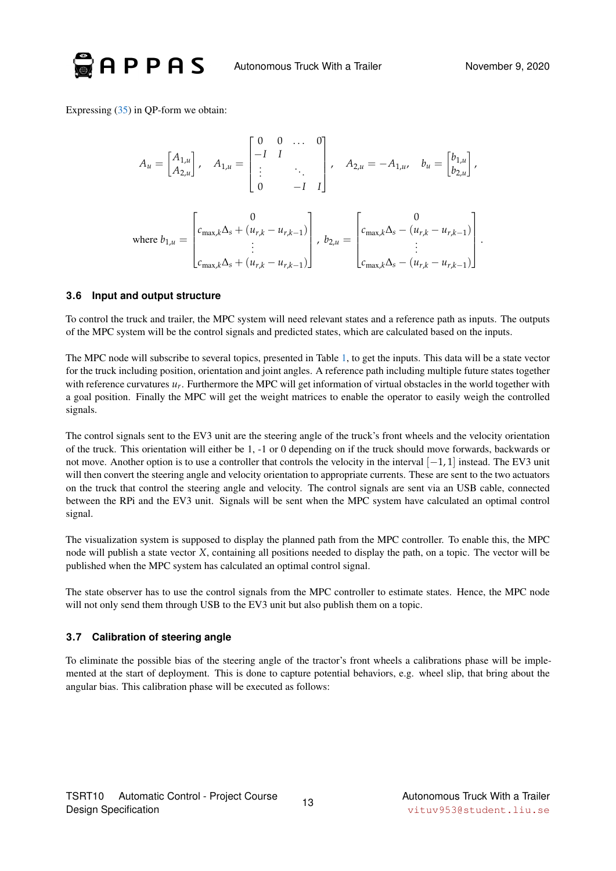

Expressing [\(35\)](#page-15-1) in QP-form we obtain:

$$
A_{u} = \begin{bmatrix} A_{1,u} \\ A_{2,u} \end{bmatrix}, A_{1,u} = \begin{bmatrix} 0 & 0 & \dots & 0 \\ -I & I & & \\ \vdots & & \ddots & \\ 0 & & -I & I \end{bmatrix}, A_{2,u} = -A_{1,u}, b_{u} = \begin{bmatrix} b_{1,u} \\ b_{2,u} \end{bmatrix},
$$
  
where  $b_{1,u} = \begin{bmatrix} c_{\max,k} \Delta_{s} + (u_{r,k} - u_{r,k-1}) \\ \vdots \\ c_{\max,k} \Delta_{s} + (u_{r,k} - u_{r,k-1}) \end{bmatrix}, b_{2,u} = \begin{bmatrix} 0 & 0 & \\ c_{\max,k} \Delta_{s} - (u_{r,k} - u_{r,k-1}) \\ \vdots & \vdots \\ c_{\max,k} \Delta_{s} - (u_{r,k} - u_{r,k-1}) \end{bmatrix}.$ 

#### <span id="page-16-0"></span>**3.6 Input and output structure**

To control the truck and trailer, the MPC system will need relevant states and a reference path as inputs. The outputs of the MPC system will be the control signals and predicted states, which are calculated based on the inputs.

The MPC node will subscribe to several topics, presented in Table [1,](#page-8-2) to get the inputs. This data will be a state vector for the truck including position, orientation and joint angles. A reference path including multiple future states together with reference curvatures *u<sup>r</sup>* . Furthermore the MPC will get information of virtual obstacles in the world together with a goal position. Finally the MPC will get the weight matrices to enable the operator to easily weigh the controlled signals.

The control signals sent to the EV3 unit are the steering angle of the truck's front wheels and the velocity orientation of the truck. This orientation will either be 1, -1 or 0 depending on if the truck should move forwards, backwards or not move. Another option is to use a controller that controls the velocity in the interval  $[-1, 1]$  instead. The EV3 unit will then convert the steering angle and velocity orientation to appropriate currents. These are sent to the two actuators on the truck that control the steering angle and velocity. The control signals are sent via an USB cable, connected between the RPi and the EV3 unit. Signals will be sent when the MPC system have calculated an optimal control signal.

The visualization system is supposed to display the planned path from the MPC controller. To enable this, the MPC node will publish a state vector *X*, containing all positions needed to display the path, on a topic. The vector will be published when the MPC system has calculated an optimal control signal.

The state observer has to use the control signals from the MPC controller to estimate states. Hence, the MPC node will not only send them through USB to the EV3 unit but also publish them on a topic.

# <span id="page-16-1"></span>**3.7 Calibration of steering angle**

To eliminate the possible bias of the steering angle of the tractor's front wheels a calibrations phase will be implemented at the start of deployment. This is done to capture potential behaviors, e.g. wheel slip, that bring about the angular bias. This calibration phase will be executed as follows: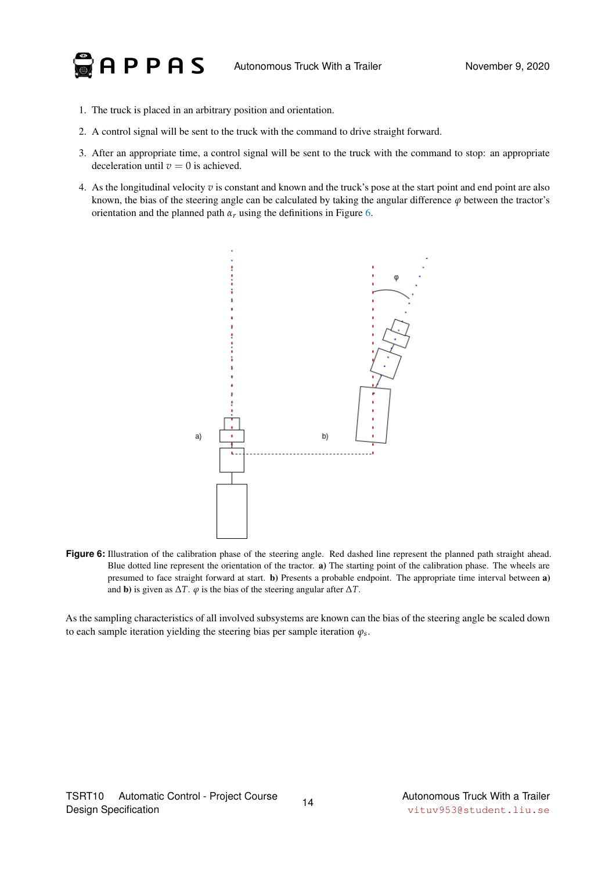

1. The truck is placed in an arbitrary position and orientation.

APPAS

- 2. A control signal will be sent to the truck with the command to drive straight forward.
- 3. After an appropriate time, a control signal will be sent to the truck with the command to stop: an appropriate deceleration until  $v = 0$  is achieved.
- <span id="page-17-0"></span>4. As the longitudinal velocity *v* is constant and known and the truck's pose at the start point and end point are also known, the bias of the steering angle can be calculated by taking the angular difference  $\varphi$  between the tractor's orientation and the planned path  $\alpha_r$  using the definitions in Figure [6.](#page-17-0)



Figure 6: Illustration of the calibration phase of the steering angle. Red dashed line represent the planned path straight ahead. Blue dotted line represent the orientation of the tractor. a) The starting point of the calibration phase. The wheels are presumed to face straight forward at start. b) Presents a probable endpoint. The appropriate time interval between a) and **b**) is given as  $\Delta T$ .  $\varphi$  is the bias of the steering angular after  $\Delta T$ .

As the sampling characteristics of all involved subsystems are known can the bias of the steering angle be scaled down to each sample iteration yielding the steering bias per sample iteration  $\varphi_s$ .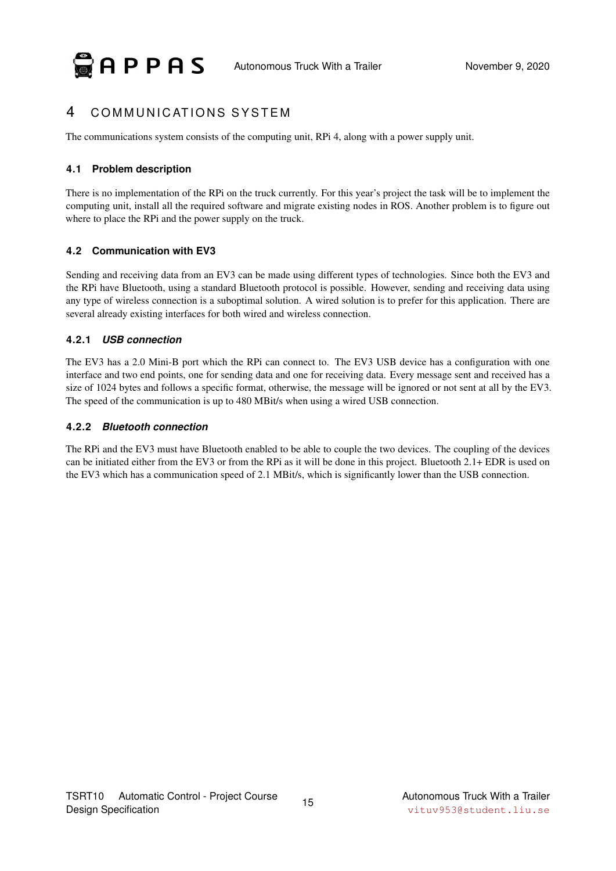# <span id="page-18-0"></span>4 COMMUNICATIONS SYSTEM

The communications system consists of the computing unit, RPi 4, along with a power supply unit.

# <span id="page-18-1"></span>**4.1 Problem description**

There is no implementation of the RPi on the truck currently. For this year's project the task will be to implement the computing unit, install all the required software and migrate existing nodes in ROS. Another problem is to figure out where to place the RPi and the power supply on the truck.

# <span id="page-18-2"></span>**4.2 Communication with EV3**

Sending and receiving data from an EV3 can be made using different types of technologies. Since both the EV3 and the RPi have Bluetooth, using a standard Bluetooth protocol is possible. However, sending and receiving data using any type of wireless connection is a suboptimal solution. A wired solution is to prefer for this application. There are several already existing interfaces for both wired and wireless connection.

# **4.2.1** *USB connection*

The EV3 has a 2.0 Mini-B port which the RPi can connect to. The EV3 USB device has a configuration with one interface and two end points, one for sending data and one for receiving data. Every message sent and received has a size of 1024 bytes and follows a specific format, otherwise, the message will be ignored or not sent at all by the EV3. The speed of the communication is up to 480 MBit/s when using a wired USB connection.

# **4.2.2** *Bluetooth connection*

The RPi and the EV3 must have Bluetooth enabled to be able to couple the two devices. The coupling of the devices can be initiated either from the EV3 or from the RPi as it will be done in this project. Bluetooth 2.1+ EDR is used on the EV3 which has a communication speed of 2.1 MBit/s, which is significantly lower than the USB connection.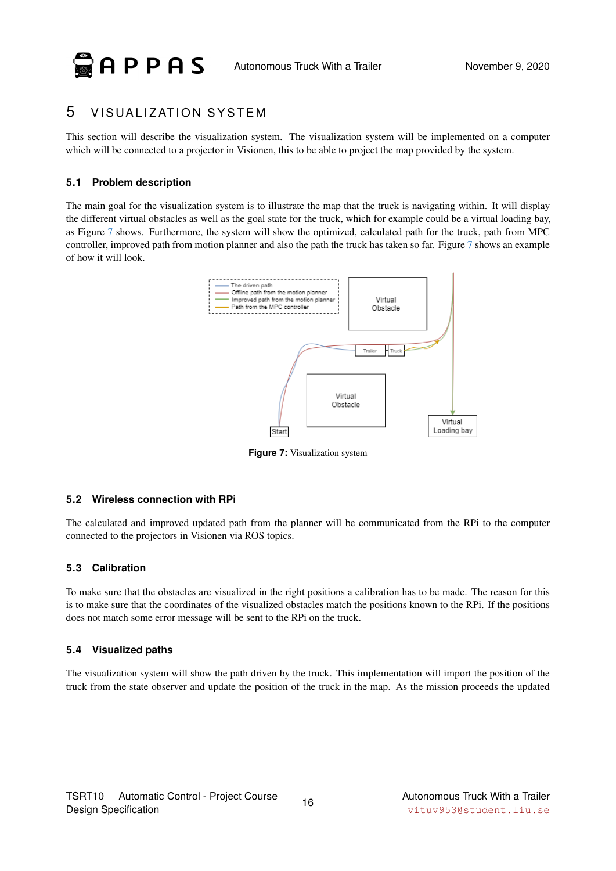# <span id="page-19-0"></span>5 VISUALIZATION SYSTEM

This section will describe the visualization system. The visualization system will be implemented on a computer which will be connected to a projector in Visionen, this to be able to project the map provided by the system.

# <span id="page-19-1"></span>**5.1 Problem description**

<span id="page-19-5"></span>The main goal for the visualization system is to illustrate the map that the truck is navigating within. It will display the different virtual obstacles as well as the goal state for the truck, which for example could be a virtual loading bay, as Figure [7](#page-19-5) shows. Furthermore, the system will show the optimized, calculated path for the truck, path from MPC controller, improved path from motion planner and also the path the truck has taken so far. Figure [7](#page-19-5) shows an example of how it will look.



**Figure 7:** Visualization system

# <span id="page-19-2"></span>**5.2 Wireless connection with RPi**

The calculated and improved updated path from the planner will be communicated from the RPi to the computer connected to the projectors in Visionen via ROS topics.

# <span id="page-19-3"></span>**5.3 Calibration**

To make sure that the obstacles are visualized in the right positions a calibration has to be made. The reason for this is to make sure that the coordinates of the visualized obstacles match the positions known to the RPi. If the positions does not match some error message will be sent to the RPi on the truck.

# <span id="page-19-4"></span>**5.4 Visualized paths**

The visualization system will show the path driven by the truck. This implementation will import the position of the truck from the state observer and update the position of the truck in the map. As the mission proceeds the updated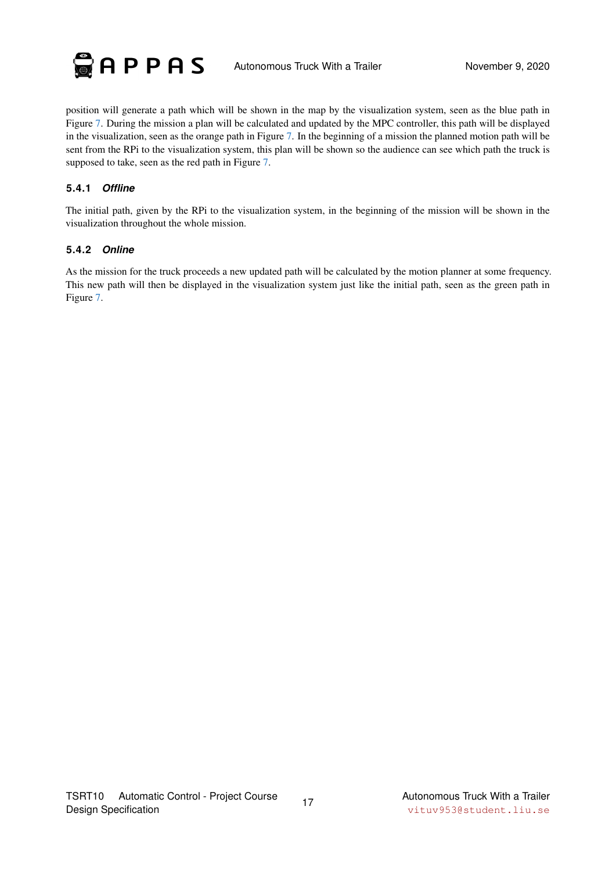

position will generate a path which will be shown in the map by the visualization system, seen as the blue path in Figure [7.](#page-19-5) During the mission a plan will be calculated and updated by the MPC controller, this path will be displayed in the visualization, seen as the orange path in Figure [7.](#page-19-5) In the beginning of a mission the planned motion path will be sent from the RPi to the visualization system, this plan will be shown so the audience can see which path the truck is supposed to take, seen as the red path in Figure [7.](#page-19-5)

# **5.4.1** *Offline*

The initial path, given by the RPi to the visualization system, in the beginning of the mission will be shown in the visualization throughout the whole mission.

# **5.4.2** *Online*

As the mission for the truck proceeds a new updated path will be calculated by the motion planner at some frequency. This new path will then be displayed in the visualization system just like the initial path, seen as the green path in Figure [7.](#page-19-5)